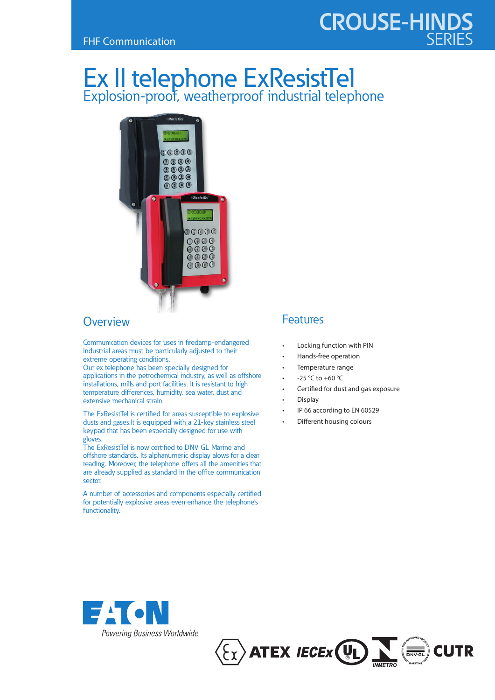# **CROUSE-HINDS**

# Ex II telephone ExResistTel Explosion-proof, weatherproof industrial telephone



## **Overview**

Communication devices for uses in firedamp-endangered industrial areas must be particularly adjusted to their extreme operating conditions.

Our ex telephone has been specially designed for applications in the petrochemical industry, as well as offshore installations, mills and port facilities. It is resistant to high temperature differences, humidity, sea water, dust and extensive mechanical strain.

The ExResistTel is certified for areas susceptible to explosive dusts and gases.It is equipped with a 21-key stainless steel keypad that has been especially designed for use with gloves.

The ExResistTel is now certified to DNV GL Marine and offshore standards. Its alphanumeric display alows for a clear reading. Moreover, the telephone offers all the amenities that are already supplied as standard in the office communication sector.

A number of accessories and components especially certified for potentially explosive areas even enhance the telephone's functionality.

## Features

- Locking function with PIN
- Hands-free operation
- Temperature range
- -25 °C to +60 °C
- Certified for dust and gas exposure
- Display
- IP 66 according to EN 60529
- Different housing colours



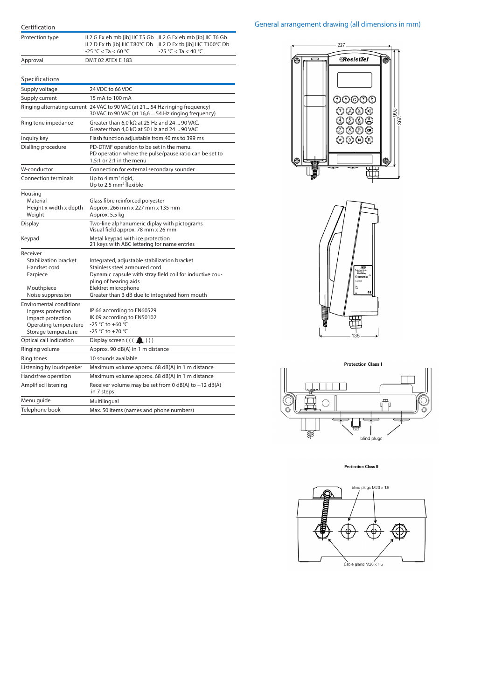| Protection type                                                                                                           | II 2 G Ex eb mb [ib] IIC T5 Gb II 2 G Ex eb mb [ib] IIC T6 Gb<br>II 2 D Ex tb [ib] IIIC T80°C Db<br>II 2 D Ex tb [ib] IIIC T100°C Db<br>$-25 °C < Ta < 60 °C$<br>$-25 °C < Ta < 40 °C$    |  |  |  |
|---------------------------------------------------------------------------------------------------------------------------|-------------------------------------------------------------------------------------------------------------------------------------------------------------------------------------------|--|--|--|
| Approval                                                                                                                  | DMT 02 ATEX E 183                                                                                                                                                                         |  |  |  |
|                                                                                                                           |                                                                                                                                                                                           |  |  |  |
| Specifications                                                                                                            |                                                                                                                                                                                           |  |  |  |
| Supply voltage                                                                                                            | 24 VDC to 66 VDC                                                                                                                                                                          |  |  |  |
| Supply current                                                                                                            | 15 mA to 100 mA                                                                                                                                                                           |  |  |  |
|                                                                                                                           | Ringing alternating current 24 VAC to 90 VAC (at 21 54 Hz ringing frequency)<br>30 VAC to 90 VAC (at 16,6  54 Hz ringing frequency)                                                       |  |  |  |
| Ring tone impedance                                                                                                       | Greater than 6,0 k $\Omega$ at 25 Hz and 24  90 VAC.<br>Greater than 4.0 k $\Omega$ at 50 Hz and 24  90 VAC                                                                               |  |  |  |
| Inquiry key                                                                                                               | Flash function adjustable from 40 ms to 399 ms                                                                                                                                            |  |  |  |
| Dialling procedure                                                                                                        | PD-DTMF operation to be set in the menu.<br>PD operation where the pulse/pause ratio can be set to<br>1.5:1 or 2:1 in the menu                                                            |  |  |  |
| W-conductor                                                                                                               | Connection for external secondary sounder                                                                                                                                                 |  |  |  |
| Connection terminals                                                                                                      | Up to 4 mm <sup>2</sup> rigid,<br>Up to 2.5 mm <sup>2</sup> flexible                                                                                                                      |  |  |  |
| Housing<br>Material<br>Height x width x depth<br>Weight                                                                   | Glass fibre reinforced polyester<br>Approx, 266 mm x 227 mm x 135 mm<br>Approx. 5.5 kg                                                                                                    |  |  |  |
| Display                                                                                                                   | Two-line alphanumeric diplay with pictograms<br>Visual field approx. 78 mm x 26 mm                                                                                                        |  |  |  |
| Keypad                                                                                                                    | Metal keypad with ice protection<br>21 keys with ABC lettering for name entries                                                                                                           |  |  |  |
| Receiver                                                                                                                  |                                                                                                                                                                                           |  |  |  |
| <b>Stabilization bracket</b><br>Handset cord<br>Earpiece<br>Mouthpiece                                                    | Integrated, adjustable stabilization bracket<br>Stainless steel armoured cord<br>Dynamic capsule with stray field coil for inductive cou-<br>pling of hearing aids<br>Elektret microphone |  |  |  |
| Noise suppression                                                                                                         | Greater than 3 dB due to integrated horn mouth                                                                                                                                            |  |  |  |
| <b>Enviromental conditions</b><br>Ingress protection<br>Impact protection<br>Operating temperature<br>Storage temperature | IP 66 according to EN60529<br>IK 09 according to EN50102<br>-25 °C to +60 °C<br>-25 °C to +70 °C                                                                                          |  |  |  |
| Optical call indication                                                                                                   | Display screen $((\Box) ))$                                                                                                                                                               |  |  |  |
| Ringing volume                                                                                                            | Approx. 90 dB(A) in 1 m distance                                                                                                                                                          |  |  |  |
| Ring tones                                                                                                                | 10 sounds available                                                                                                                                                                       |  |  |  |
| Listening by loudspeaker                                                                                                  | Maximum volume approx. 68 dB(A) in 1 m distance                                                                                                                                           |  |  |  |
| Handsfree operation                                                                                                       | Maximum volume approx. 68 dB(A) in 1 m distance                                                                                                                                           |  |  |  |
| Amplified listening                                                                                                       | Receiver volume may be set from 0 dB(A) to +12 dB(A)<br>in 7 steps                                                                                                                        |  |  |  |
| Menu guide                                                                                                                | Multilingual                                                                                                                                                                              |  |  |  |
| Telephone book                                                                                                            | Max. 50 items (names and phone numbers)                                                                                                                                                   |  |  |  |

Certification

#### General arrangement drawing (all dimensions in mm)





**Protection Class I** 



**Protection Class II**